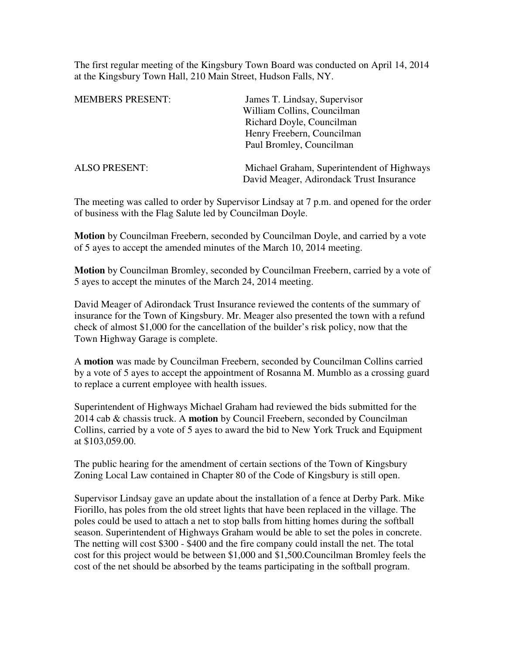The first regular meeting of the Kingsbury Town Board was conducted on April 14, 2014 at the Kingsbury Town Hall, 210 Main Street, Hudson Falls, NY.

| <b>MEMBERS PRESENT:</b> | James T. Lindsay, Supervisor                                                           |
|-------------------------|----------------------------------------------------------------------------------------|
|                         | William Collins, Councilman                                                            |
|                         | Richard Doyle, Councilman                                                              |
|                         | Henry Freebern, Councilman                                                             |
|                         | Paul Bromley, Councilman                                                               |
| <b>ALSO PRESENT:</b>    | Michael Graham, Superintendent of Highways<br>David Meager, Adirondack Trust Insurance |

The meeting was called to order by Supervisor Lindsay at 7 p.m. and opened for the order of business with the Flag Salute led by Councilman Doyle.

**Motion** by Councilman Freebern, seconded by Councilman Doyle, and carried by a vote of 5 ayes to accept the amended minutes of the March 10, 2014 meeting.

**Motion** by Councilman Bromley, seconded by Councilman Freebern, carried by a vote of 5 ayes to accept the minutes of the March 24, 2014 meeting.

David Meager of Adirondack Trust Insurance reviewed the contents of the summary of insurance for the Town of Kingsbury. Mr. Meager also presented the town with a refund check of almost \$1,000 for the cancellation of the builder's risk policy, now that the Town Highway Garage is complete.

A **motion** was made by Councilman Freebern, seconded by Councilman Collins carried by a vote of 5 ayes to accept the appointment of Rosanna M. Mumblo as a crossing guard to replace a current employee with health issues.

Superintendent of Highways Michael Graham had reviewed the bids submitted for the 2014 cab & chassis truck. A **motion** by Council Freebern, seconded by Councilman Collins, carried by a vote of 5 ayes to award the bid to New York Truck and Equipment at \$103,059.00.

The public hearing for the amendment of certain sections of the Town of Kingsbury Zoning Local Law contained in Chapter 80 of the Code of Kingsbury is still open.

Supervisor Lindsay gave an update about the installation of a fence at Derby Park. Mike Fiorillo, has poles from the old street lights that have been replaced in the village. The poles could be used to attach a net to stop balls from hitting homes during the softball season. Superintendent of Highways Graham would be able to set the poles in concrete. The netting will cost \$300 - \$400 and the fire company could install the net. The total cost for this project would be between \$1,000 and \$1,500.Councilman Bromley feels the cost of the net should be absorbed by the teams participating in the softball program.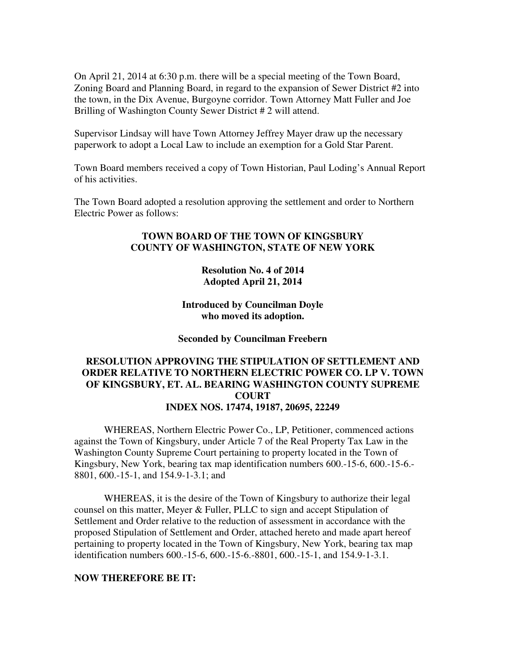On April 21, 2014 at 6:30 p.m. there will be a special meeting of the Town Board, Zoning Board and Planning Board, in regard to the expansion of Sewer District #2 into the town, in the Dix Avenue, Burgoyne corridor. Town Attorney Matt Fuller and Joe Brilling of Washington County Sewer District # 2 will attend.

Supervisor Lindsay will have Town Attorney Jeffrey Mayer draw up the necessary paperwork to adopt a Local Law to include an exemption for a Gold Star Parent.

Town Board members received a copy of Town Historian, Paul Loding's Annual Report of his activities.

The Town Board adopted a resolution approving the settlement and order to Northern Electric Power as follows:

## **TOWN BOARD OF THE TOWN OF KINGSBURY COUNTY OF WASHINGTON, STATE OF NEW YORK**

**Resolution No. 4 of 2014 Adopted April 21, 2014** 

**Introduced by Councilman Doyle who moved its adoption.** 

**Seconded by Councilman Freebern** 

## **RESOLUTION APPROVING THE STIPULATION OF SETTLEMENT AND ORDER RELATIVE TO NORTHERN ELECTRIC POWER CO. LP V. TOWN OF KINGSBURY, ET. AL. BEARING WASHINGTON COUNTY SUPREME COURT INDEX NOS. 17474, 19187, 20695, 22249**

WHEREAS, Northern Electric Power Co., LP, Petitioner, commenced actions against the Town of Kingsbury, under Article 7 of the Real Property Tax Law in the Washington County Supreme Court pertaining to property located in the Town of Kingsbury, New York, bearing tax map identification numbers 600.-15-6, 600.-15-6.- 8801, 600.-15-1, and 154.9-1-3.1; and

WHEREAS, it is the desire of the Town of Kingsbury to authorize their legal counsel on this matter, Meyer & Fuller, PLLC to sign and accept Stipulation of Settlement and Order relative to the reduction of assessment in accordance with the proposed Stipulation of Settlement and Order, attached hereto and made apart hereof pertaining to property located in the Town of Kingsbury, New York, bearing tax map identification numbers 600.-15-6, 600.-15-6.-8801, 600.-15-1, and 154.9-1-3.1.

## **NOW THEREFORE BE IT:**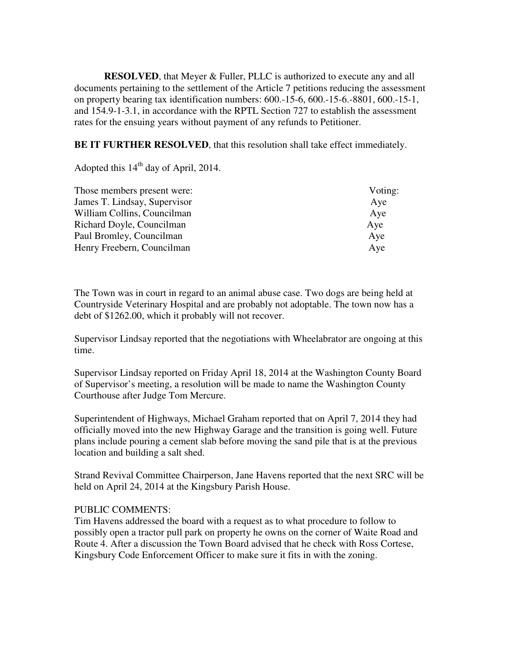**RESOLVED**, that Meyer & Fuller, PLLC is authorized to execute any and all documents pertaining to the settlement of the Article 7 petitions reducing the assessment on property bearing tax identification numbers: 600.-15-6, 600.-15-6.-8801, 600.-15-1, and 154.9-1-3.1, in accordance with the RPTL Section 727 to establish the assessment rates for the ensuing years without payment of any refunds to Petitioner.

**BE IT FURTHER RESOLVED**, that this resolution shall take effect immediately.

Adopted this  $14<sup>th</sup>$  day of April, 2014.

| Those members present were:  | Voting: |
|------------------------------|---------|
| James T. Lindsay, Supervisor | Aye     |
| William Collins, Councilman  | Aye     |
| Richard Doyle, Councilman    | Aye     |
| Paul Bromley, Councilman     | Aye     |
| Henry Freebern, Councilman   | Aye     |

The Town was in court in regard to an animal abuse case. Two dogs are being held at Countryside Veterinary Hospital and are probably not adoptable. The town now has a debt of \$1262.00, which it probably will not recover.

Supervisor Lindsay reported that the negotiations with Wheelabrator are ongoing at this time.

Supervisor Lindsay reported on Friday April 18, 2014 at the Washington County Board of Supervisor's meeting, a resolution will be made to name the Washington County Courthouse after Judge Tom Mercure.

Superintendent of Highways, Michael Graham reported that on April 7, 2014 they had officially moved into the new Highway Garage and the transition is going well. Future plans include pouring a cement slab before moving the sand pile that is at the previous location and building a salt shed.

Strand Revival Committee Chairperson, Jane Havens reported that the next SRC will be held on April 24, 2014 at the Kingsbury Parish House.

## PUBLIC COMMENTS:

Tim Havens addressed the board with a request as to what procedure to follow to possibly open a tractor pull park on property he owns on the corner of Waite Road and Route 4. After a discussion the Town Board advised that he check with Ross Cortese, Kingsbury Code Enforcement Officer to make sure it fits in with the zoning.